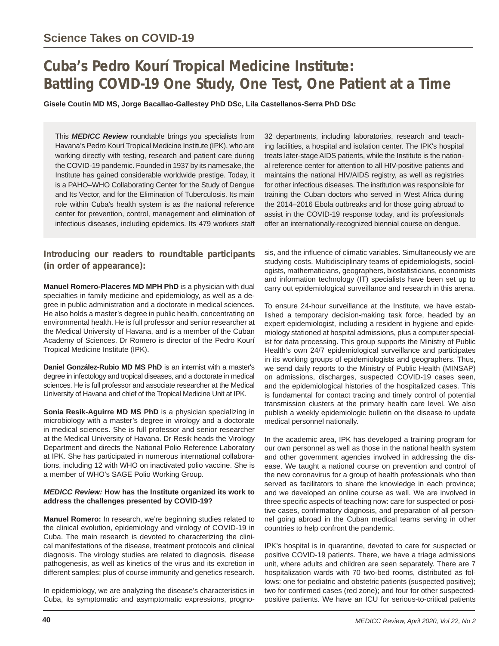# **Cuba's Pedro Kourí Tropical Medicine Institute: Battling COVID-19 One Study, One Test, One Patient at a Time**

**Gisele Coutin MD MS, Jorge Bacallao-Gallestey PhD DSc, Lila Castellanos-Serra PhD DSc**

This *MEDICC Review* roundtable brings you specialists from Havana's Pedro Kourí Tropical Medicine Institute (IPK), who are working directly with testing, research and patient care during the COVID-19 pandemic. Founded in 1937 by its namesake, the Institute has gained considerable worldwide prestige. Today, it is a PAHO–WHO Collaborating Center for the Study of Dengue and Its Vector, and for the Elimination of Tuberculosis. Its main role within Cuba's health system is as the national reference center for prevention, control, management and elimination of infectious diseases, including epidemics. Its 479 workers staff

### **Introducing our readers to roundtable participants (in order of appearance):**

**Manuel Romero-Placeres MD MPH PhD** is a physician with dual specialties in family medicine and epidemiology, as well as a degree in public administration and a doctorate in medical sciences. He also holds a master's degree in public health, concentrating on environmental health. He is full professor and senior researcher at the Medical University of Havana, and is a member of the Cuban Academy of Sciences. Dr Romero is director of the Pedro Kourí Tropical Medicine Institute (IPK).

**Daniel González-Rubio MD MS PhD** is an internist with a master's degree in infectology and tropical diseases, and a doctorate in medical sciences. He is full professor and associate researcher at the Medical University of Havana and chief of the Tropical Medicine Unit at IPK.

**Sonia Resik-Aguirre MD MS PhD** is a physician specializing in microbiology with a master's degree in virology and a doctorate in medical sciences. She is full professor and senior researcher at the Medical University of Havana. Dr Resik heads the Virology Department and directs the National Polio Reference Laboratory at IPK. She has participated in numerous international collaborations, including 12 with WHO on inactivated polio vaccine. She is a member of WHO's SAGE Polio Working Group.

#### *MEDICC Review:* **How has the Institute organized its work to address the challenges presented by COVID-19?**

**Manuel Romero:** In research, we're beginning studies related to the clinical evolution, epidemiology and virology of COVID-19 in Cuba. The main research is devoted to characterizing the clinical manifestations of the disease, treatment protocols and clinical diagnosis. The virology studies are related to diagnosis, disease pathogenesis, as well as kinetics of the virus and its excretion in different samples; plus of course immunity and genetics research.

In epidemiology, we are analyzing the disease's characteristics in Cuba, its symptomatic and asymptomatic expressions, progno32 departments, including laboratories, research and teaching facilities, a hospital and isolation center. The IPK's hospital treats later-stage AIDS patients, while the Institute is the national reference center for attention to all HIV-positive patients and maintains the national HIV/AIDS registry, as well as registries for other infectious diseases. The institution was responsible for training the Cuban doctors who served in West Africa during the 2014–2016 Ebola outbreaks and for those going abroad to assist in the COVID-19 response today, and its professionals offer an internationally-recognized biennial course on dengue.

sis, and the influence of climatic variables. Simultaneously we are studying costs. Multidisciplinary teams of epidemiologists, sociologists, mathematicians, geographers, biostatisticians, economists and information technology (IT) specialists have been set up to carry out epidemiological surveillance and research in this arena.

To ensure 24-hour surveillance at the Institute, we have established a temporary decision-making task force, headed by an expert epidemiologist, including a resident in hygiene and epidemiology stationed at hospital admissions, plus a computer specialist for data processing. This group supports the Ministry of Public Health's own 24/7 epidemiological surveillance and participates in its working groups of epidemiologists and geographers. Thus, we send daily reports to the Ministry of Public Health (MINSAP) on admissions, discharges, suspected COVID-19 cases seen, and the epidemiological histories of the hospitalized cases. This is fundamental for contact tracing and timely control of potential transmission clusters at the primary health care level. We also publish a weekly epidemiologic bulletin on the disease to update medical personnel nationally.

In the academic area, IPK has developed a training program for our own personnel as well as those in the national health system and other government agencies involved in addressing the disease. We taught a national course on prevention and control of the new coronavirus for a group of health professionals who then served as facilitators to share the knowledge in each province; and we developed an online course as well. We are involved in three specific aspects of teaching now: care for suspected or positive cases, confirmatory diagnosis, and preparation of all personnel going abroad in the Cuban medical teams serving in other countries to help confront the pandemic.

IPK's hospital is in quarantine, devoted to care for suspected or positive COVID-19 patients. There, we have a triage admissions unit, where adults and children are seen separately. There are 7 hospitalization wards with 70 two-bed rooms, distributed as follows: one for pediatric and obstetric patients (suspected positive); two for confirmed cases (red zone); and four for other suspectedpositive patients. We have an ICU for serious-to-critical patients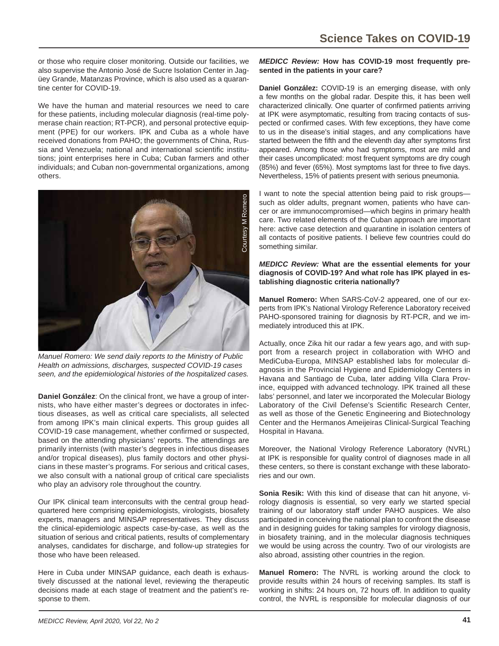or those who require closer monitoring. Outside our facilities, we also supervise the Antonio José de Sucre Isolation Center in Jagüey Grande, Matanzas Province, which is also used as a quarantine center for COVID-19.

We have the human and material resources we need to care for these patients, including molecular diagnosis (real-time polymerase chain reaction; RT-PCR), and personal protective equipment (PPE) for our workers. IPK and Cuba as a whole have received donations from PAHO; the governments of China, Russia and Venezuela; national and international scientific institutions; joint enterprises here in Cuba; Cuban farmers and other individuals; and Cuban non-governmental organizations, among others.



*Manuel Romero: We send daily reports to the Ministry of Public Health on admissions, discharges, suspected COVID-19 cases* 

**Daniel González:** On the clinical front, we have a group of internists, who have either master's degrees or doctorates in infectious diseases, as well as critical care specialists, all selected from among IPK's main clinical experts. This group guides all COVID-19 case management, whether confirmed or suspected, based on the attending physicians' reports. The attendings are primarily internists (with master's degrees in infectious diseases and/or tropical diseases), plus family doctors and other physicians in these master's programs. For serious and critical cases, we also consult with a national group of critical care specialists who play an advisory role throughout the country.

Our IPK clinical team interconsults with the central group headquartered here comprising epidemiologists, virologists, biosafety experts, managers and MINSAP representatives. They discuss the clinical-epidemiologic aspects case-by-case, as well as the situation of serious and critical patients, results of complementary analyses, candidates for discharge, and follow-up strategies for those who have been released.

Here in Cuba under MINSAP guidance, each death is exhaustively discussed at the national level, reviewing the therapeutic decisions made at each stage of treatment and the patient's response to them.

#### *MEDICC Review:* **How has COVID-19 most frequently presented in the patients in your care?**

**Daniel González:** COVID-19 is an emerging disease, with only a few months on the global radar. Despite this, it has been well characterized clinically. One quarter of confirmed patients arriving at IPK were asymptomatic, resulting from tracing contacts of suspected or confirmed cases. With few exceptions, they have come to us in the disease's initial stages, and any complications have started between the fifth and the eleventh day after symptoms first appeared. Among those who had symptoms, most are mild and their cases uncomplicated: most frequent symptoms are dry cough (85%) and fever (65%). Most symptoms last for three to five days. Nevertheless, 15% of patients present with serious pneumonia.

I want to note the special attention being paid to risk groups such as older adults, pregnant women, patients who have cancer or are immunocompromised—which begins in primary health care. Two related elements of the Cuban approach are important here: active case detection and quarantine in isolation centers of all contacts of positive patients. I believe few countries could do something similar.

#### *MEDICC Review:* **What are the essential elements for your diagnosis of COVID-19? And what role has IPK played in establishing diagnostic criteria nationally?**

**Manuel Romero:** When SARS-CoV-2 appeared, one of our experts from IPK's National Virology Reference Laboratory received PAHO-sponsored training for diagnosis by RT-PCR, and we immediately introduced this at IPK.

Actually, once Zika hit our radar a few years ago, and with support from a research project in collaboration with WHO and MediCuba-Europa, MINSAP established labs for molecular diagnosis in the Provincial Hygiene and Epidemiology Centers in Havana and Santiago de Cuba, later adding Villa Clara Province, equipped with advanced technology. IPK trained all these labs' personnel, and later we incorporated the Molecular Biology Laboratory of the Civil Defense's Scientific Research Center, as well as those of the Genetic Engineering and Biotechnology Center and the Hermanos Ameijeiras Clinical-Surgical Teaching Hospital in Havana.

Moreover, the National Virology Reference Laboratory (NVRL) at IPK is responsible for quality control of diagnoses made in all these centers, so there is constant exchange with these laboratories and our own.

**Sonia Resik:** With this kind of disease that can hit anyone, virology diagnosis is essential, so very early we started special training of our laboratory staff under PAHO auspices. We also participated in conceiving the national plan to confront the disease and in designing guides for taking samples for virology diagnosis, in biosafety training, and in the molecular diagnosis techniques we would be using across the country. Two of our virologists are also abroad, assisting other countries in the region.

**Manuel Romero:** The NVRL is working around the clock to provide results within 24 hours of receiving samples. Its staff is working in shifts: 24 hours on, 72 hours off. In addition to quality control, the NVRL is responsible for molecular diagnosis of our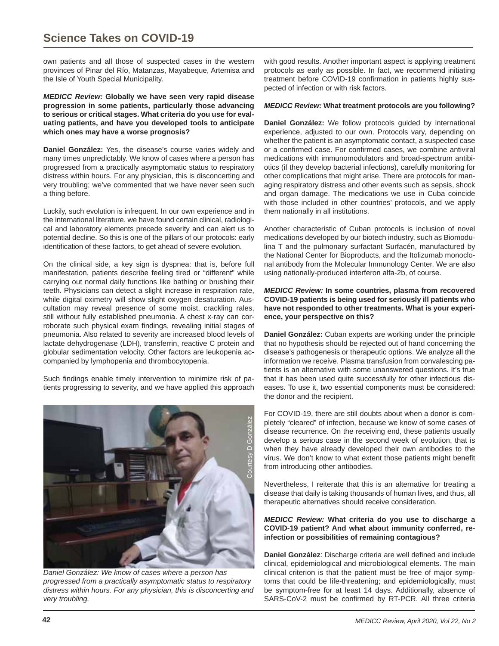## **Science Takes on COVID-19**

own patients and all those of suspected cases in the western provinces of Pinar del Río, Matanzas, Mayabeque, Artemisa and the Isle of Youth Special Municipality.

*MEDICC Review:* **Globally we have seen very rapid disease progression in some patients, particularly those advancing to serious or critical stages. What criteria do you use for evaluating patients, and have you developed tools to anticipate which ones may have a worse prognosis?**

**Daniel González:** Yes, the disease's course varies widely and many times unpredictably. We know of cases where a person has progressed from a practically asymptomatic status to respiratory distress within hours. For any physician, this is disconcerting and very troubling; we've commented that we have never seen such a thing before.

Luckily, such evolution is infrequent. In our own experience and in the international literature, we have found certain clinical, radiological and laboratory elements precede severity and can alert us to potential decline. So this is one of the pillars of our protocols: early identification of these factors, to get ahead of severe evolution.

On the clinical side, a key sign is dyspnea: that is, before full manifestation, patients describe feeling tired or "different" while carrying out normal daily functions like bathing or brushing their teeth. Physicians can detect a slight increase in respiration rate, while digital oximetry will show slight oxygen desaturation. Auscultation may reveal presence of some moist, crackling rales, still without fully established pneumonia. A chest x-ray can corroborate such physical exam findings, revealing initial stages of pneumonia. Also related to severity are increased blood levels of lactate dehydrogenase (LDH), transferrin, reactive C protein and globular sedimentation velocity. Other factors are leukopenia accompanied by lymphopenia and thrombocytopenia.

Such findings enable timely intervention to minimize risk of patients progressing to severity, and we have applied this approach



*Daniel González: We know of cases where a person has progressed from a practically asymptomatic status to respiratory distress within hours. For any physician, this is disconcerting and very troubling.*

with good results. Another important aspect is applying treatment protocols as early as possible. In fact, we recommend initiating treatment before COVID-19 confirmation in patients highly suspected of infection or with risk factors.

#### *MEDICC Review:* **What treatment protocols are you following?**

**Daniel González:** We follow protocols guided by international experience, adjusted to our own. Protocols vary, depending on whether the patient is an asymptomatic contact, a suspected case or a confirmed case. For confirmed cases, we combine antiviral medications with immunomodulators and broad-spectrum antibiotics (if they develop bacterial infections), carefully monitoring for other complications that might arise. There are protocols for managing respiratory distress and other events such as sepsis, shock and organ damage. The medications we use in Cuba coincide with those included in other countries' protocols, and we apply them nationally in all institutions.

Another characteristic of Cuban protocols is inclusion of novel medications developed by our biotech industry, such as Biomodulina T and the pulmonary surfactant Surfacén, manufactured by the National Center for Bioproducts, and the Itolizumab monoclonal antibody from the Molecular Immunology Center. We are also using nationally-produced interferon alfa-2b, of course.

#### *MEDICC Review:* **In some countries, plasma from recovered COVID-19 patients is being used for seriously ill patients who have not responded to other treatments. What is your experience, your perspective on this?**

**Daniel González:** Cuban experts are working under the principle that no hypothesis should be rejected out of hand concerning the disease's pathogenesis or therapeutic options. We analyze all the information we receive. Plasma transfusion from convalescing patients is an alternative with some unanswered questions. It's true that it has been used quite successfully for other infectious diseases. To use it, two essential components must be considered: the donor and the recipient.

For COVID-19, there are still doubts about when a donor is completely "cleared" of infection, because we know of some cases of disease recurrence. On the receiving end, these patients usually develop a serious case in the second week of evolution, that is when they have already developed their own antibodies to the virus. We don't know to what extent those patients might benefit from introducing other antibodies.

Nevertheless, I reiterate that this is an alternative for treating a disease that daily is taking thousands of human lives, and thus, all therapeutic alternatives should receive consideration.

#### *MEDICC Review:* **What criteria do you use to discharge a COVID-19 patient? And what about immunity conferred, reinfection or possibilities of remaining contagious?**

**Daniel González**: Discharge criteria are well defined and include clinical, epidemiological and microbiological elements. The main clinical criterion is that the patient must be free of major symptoms that could be life-threatening; and epidemiologically, must be symptom-free for at least 14 days. Additionally, absence of SARS-CoV-2 must be confirmed by RT-PCR. All three criteria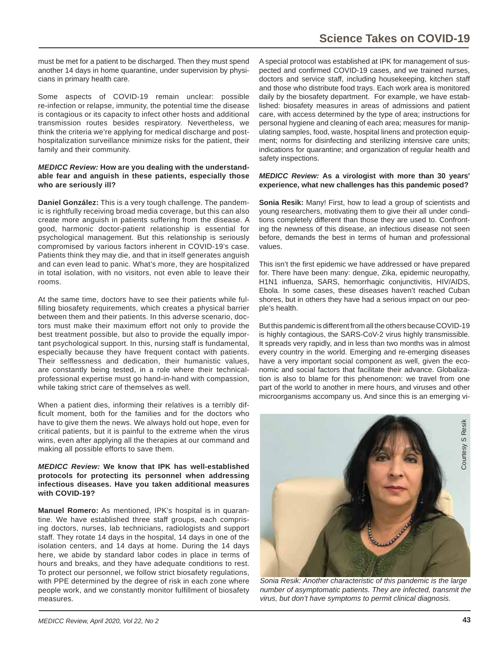must be met for a patient to be discharged. Then they must spend another 14 days in home quarantine, under supervision by physicians in primary health care.

Some aspects of COVID-19 remain unclear: possible re-infection or relapse, immunity, the potential time the disease is contagious or its capacity to infect other hosts and additional transmission routes besides respiratory. Nevertheless, we think the criteria we're applying for medical discharge and posthospitalization surveillance minimize risks for the patient, their family and their community.

#### *MEDICC Review:* **How are you dealing with the understandable fear and anguish in these patients, especially those who are seriously ill?**

**Daniel González:** This is a very tough challenge. The pandemic is rightfully receiving broad media coverage, but this can also create more anguish in patients suffering from the disease. A good, harmonic doctor-patient relationship is essential for psychological management. But this relationship is seriously compromised by various factors inherent in COVID-19's case. Patients think they may die, and that in itself generates anguish and can even lead to panic. What's more, they are hospitalized in total isolation, with no visitors, not even able to leave their rooms.

At the same time, doctors have to see their patients while fulfilling biosafety requirements, which creates a physical barrier between them and their patients. In this adverse scenario, doctors must make their maximum effort not only to provide the best treatment possible, but also to provide the equally important psychological support. In this, nursing staff is fundamental, especially because they have frequent contact with patients. Their selflessness and dedication, their humanistic values, are constantly being tested, in a role where their technicalprofessional expertise must go hand-in-hand with compassion, while taking strict care of themselves as well.

When a patient dies, informing their relatives is a terribly difficult moment, both for the families and for the doctors who have to give them the news. We always hold out hope, even for critical patients, but it is painful to the extreme when the virus wins, even after applying all the therapies at our command and making all possible efforts to save them.

#### *MEDICC Review:* **We know that IPK has well-established protocols for protecting its personnel when addressing infectious diseases. Have you taken additional measures with COVID-19?**

**Manuel Romero:** As mentioned, IPK's hospital is in quarantine. We have established three staff groups, each comprising doctors, nurses, lab technicians, radiologists and support staff. They rotate 14 days in the hospital, 14 days in one of the isolation centers, and 14 days at home. During the 14 days here, we abide by standard labor codes in place in terms of hours and breaks, and they have adequate conditions to rest. To protect our personnel, we follow strict biosafety regulations, with PPE determined by the degree of risk in each zone where people work, and we constantly monitor fulfillment of biosafety measures.

A special protocol was established at IPK for management of suspected and confirmed COVID-19 cases, and we trained nurses, doctors and service staff, including housekeeping, kitchen staff and those who distribute food trays. Each work area is monitored daily by the biosafety department. For example, we have established: biosafety measures in areas of admissions and patient care, with access determined by the type of area; instructions for personal hygiene and cleaning of each area; measures for manipulating samples, food, waste, hospital linens and protection equipment; norms for disinfecting and sterilizing intensive care units; indications for quarantine; and organization of regular health and safety inspections.

#### *MEDICC Review:* **As a virologist with more than 30 years' experience, what new challenges has this pandemic posed?**

**Sonia Resik:** Many! First, how to lead a group of scientists and young researchers, motivating them to give their all under conditions completely different than those they are used to. Confronting the newness of this disease, an infectious disease not seen before, demands the best in terms of human and professional values.

This isn't the first epidemic we have addressed or have prepared for. There have been many: dengue, Zika, epidemic neuropathy, H1N1 influenza, SARS, hemorrhagic conjunctivitis, HIV/AIDS, Ebola. In some cases, these diseases haven't reached Cuban shores, but in others they have had a serious impact on our people's health.

But this pandemic is different from all the others because COVID-19 is highly contagious, the SARS-CoV-2 virus highly transmissible. It spreads very rapidly, and in less than two months was in almost every country in the world. Emerging and re-emerging diseases have a very important social component as well, given the economic and social factors that facilitate their advance. Globalization is also to blame for this phenomenon: we travel from one part of the world to another in mere hours, and viruses and other microorganisms accompany us. And since this is an emerging vi-



*Sonia Resik: Another characteristic of this pandemic is the large number of asymptomatic patients. They are infected, transmit the virus, but don't have symptoms to permit clinical diagnosis.*